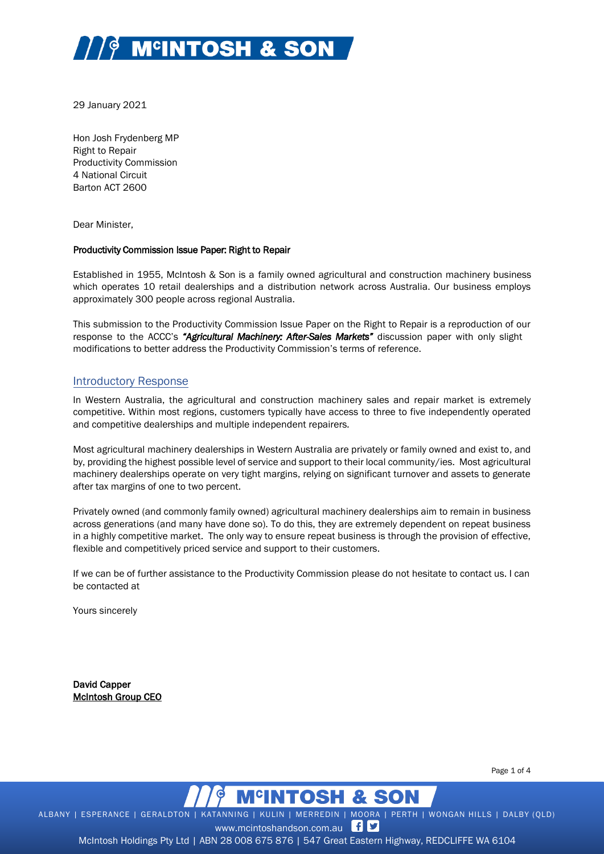

29 January 2021

Hon Josh Frydenberg MP Right to Repair Productivity Commission 4 National Circuit Barton ACT 2600

Dear Minister,

### Productivity Commission Issue Paper: Right to Repair

Established in 1955, McIntosh & Son is a family owned agricultural and construction machinery business which operates 10 retail dealerships and a distribution network across Australia. Our business employs approximately 300 people across regional Australia.

This submission to the Productivity Commission Issue Paper on the Right to Repair is a reproduction of our response to the ACCC's *"Agricultural Machinery: After-Sales Markets"* discussion paper with only slight modifications to better address the Productivity Commission's terms of reference.

## Introductory Response

In Western Australia, the agricultural and construction machinery sales and repair market is extremely competitive. Within most regions, customers typically have access to three to five independently operated and competitive dealerships and multiple independent repairers*.*

Most agricultural machinery dealerships in Western Australia are privately or family owned and exist to, and by, providing the highest possible level of service and support to their local community/ies. Most agricultural machinery dealerships operate on very tight margins, relying on significant turnover and assets to generate after tax margins of one to two percent.

Privately owned (and commonly family owned) agricultural machinery dealerships aim to remain in business across generations (and many have done so). To do this, they are extremely dependent on repeat business in a highly competitive market. The only way to ensure repeat business is through the provision of effective, flexible and competitively priced service and support to their customers.

If we can be of further assistance to the Productivity Commission please do not hesitate to contact us. I can be contacted at

Yours sincerely

David Capper McIntosh Group CEO

Page 1 of 4



ALBANY | ESPERANCE | GERALDTON | KATANNING | KULIN | MERREDIN | MOORA | PERTH | WONGAN HILLS | DALBY (QLD)

www.mcintoshandson.com.au f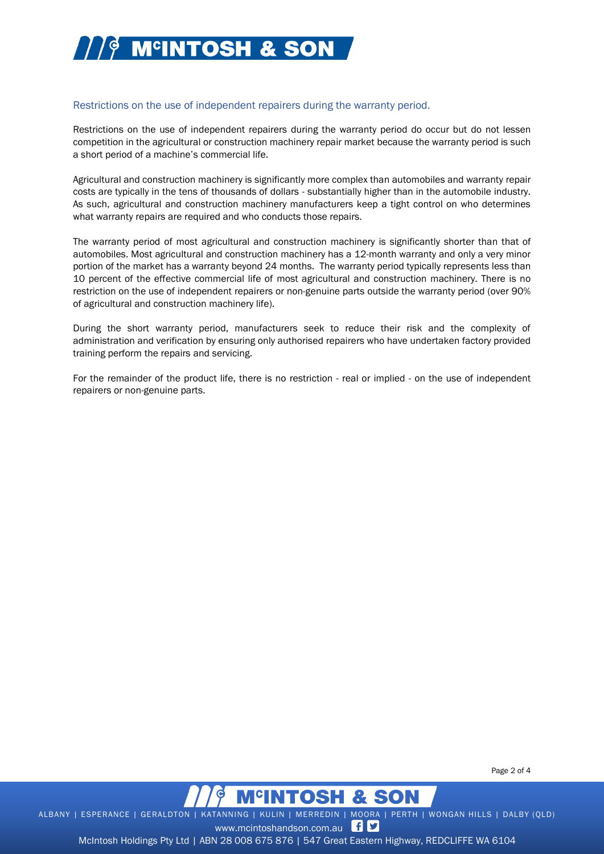

# Restrictions on the use of independent repairers during the warranty period.

Restrictions on the use of independent repairers during the warranty period do occur but do not lessen competition in the agricultural or construction machinery repair market because the warranty period is such a short period of a machine's commercial life.

Agricultural and construction machinery is significantly more complex than automobiles and warranty repair costs are typically in the tens of thousands of dollars - substantially higher than in the automobile industry. As such, agricultural and construction machinery manufacturers keep a tight control on who determines what warranty repairs are required and who conducts those repairs.

The warranty period of most agricultural and construction machinery is significantly shorter than that of automobiles. Most agricultural and construction machinery has a 12-month warranty and only a very minor portion of the market has a warranty beyond 24 months. The warranty period typically represents less than 10 percent of the effective commercial life of most agricultural and construction machinery. There is no restriction on the use of independent repairers or non-genuine parts outside the warranty period (over 90% of agricultural and construction machinery life).

During the short warranty period, manufacturers seek to reduce their risk and the complexity of administration and verification by ensuring only authorised repairers who have undertaken factory provided training perform the repairs and servicing.

For the remainder of the product life, there is no restriction - real or implied - on the use of independent repairers or non-genuine parts.

Page 2 of 4



ALBANY | ESPERANCE | GERALDTON | KATANNING | KULIN | MERREDIN | MOORA | PERTH | WONGAN HILLS | DALBY (QLD)

www.mcintoshandson.com.au fD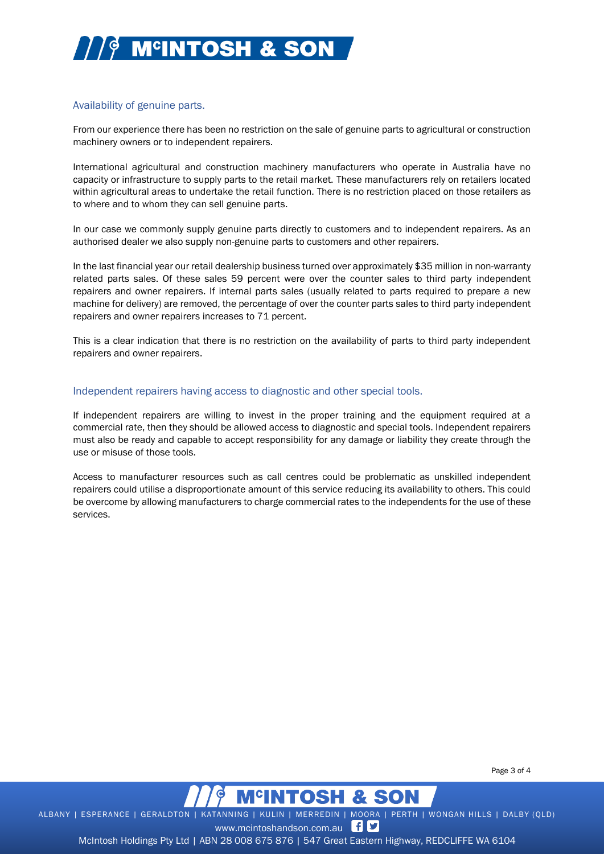

# Availability of genuine parts.

From our experience there has been no restriction on the sale of genuine parts to agricultural or construction machinery owners or to independent repairers.

International agricultural and construction machinery manufacturers who operate in Australia have no capacity or infrastructure to supply parts to the retail market. These manufacturers rely on retailers located within agricultural areas to undertake the retail function. There is no restriction placed on those retailers as to where and to whom they can sell genuine parts.

In our case we commonly supply genuine parts directly to customers and to independent repairers. As an authorised dealer we also supply non-genuine parts to customers and other repairers.

In the last financial year our retail dealership business turned over approximately \$35 million in non-warranty related parts sales. Of these sales 59 percent were over the counter sales to third party independent repairers and owner repairers. If internal parts sales (usually related to parts required to prepare a new machine for delivery) are removed, the percentage of over the counter parts sales to third party independent repairers and owner repairers increases to 71 percent.

This is a clear indication that there is no restriction on the availability of parts to third party independent repairers and owner repairers.

### Independent repairers having access to diagnostic and other special tools.

If independent repairers are willing to invest in the proper training and the equipment required at a commercial rate, then they should be allowed access to diagnostic and special tools. Independent repairers must also be ready and capable to accept responsibility for any damage or liability they create through the use or misuse of those tools.

Access to manufacturer resources such as call centres could be problematic as unskilled independent repairers could utilise a disproportionate amount of this service reducing its availability to others. This could be overcome by allowing manufacturers to charge commercial rates to the independents for the use of these services.

Page 3 of 4



ALBANY | ESPERANCE | GERALDTON | KATANNING | KULIN | MERREDIN | MOORA | PERTH | WONGAN HILLS | DALBY (QLD)

www.mcintoshandson.com.au fD